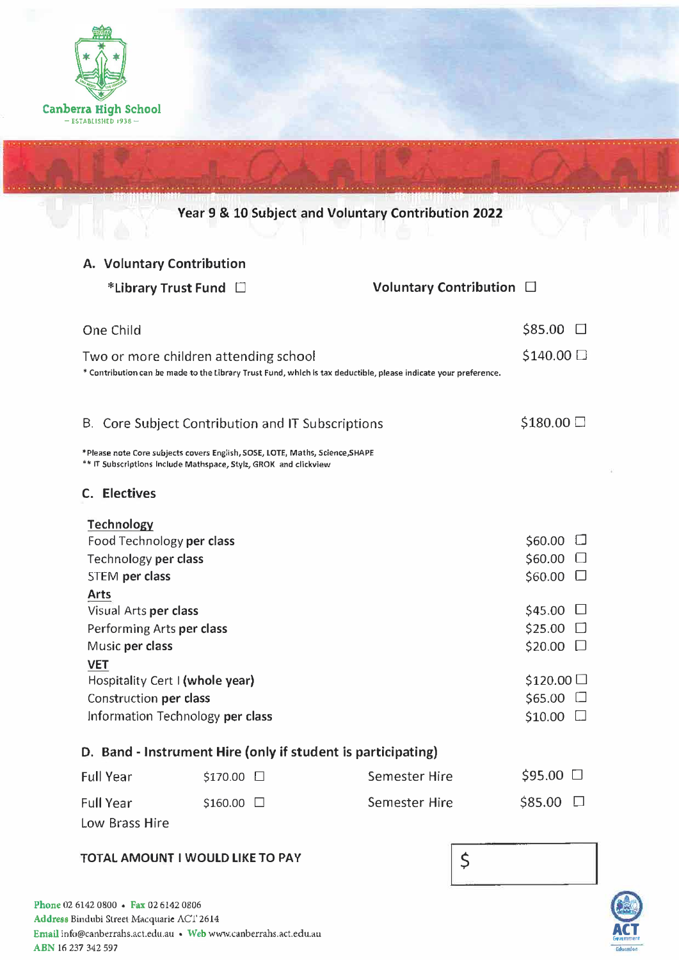

|                                                              |                                      |                                                                                                                                                  | Year 9 & 10 Subject and Voluntary Contribution 2022                                                             |                     |  |
|--------------------------------------------------------------|--------------------------------------|--------------------------------------------------------------------------------------------------------------------------------------------------|-----------------------------------------------------------------------------------------------------------------|---------------------|--|
|                                                              | A. Voluntary Contribution            |                                                                                                                                                  |                                                                                                                 |                     |  |
|                                                              | *Library Trust Fund                  |                                                                                                                                                  | Voluntary Contribution $\Box$                                                                                   |                     |  |
|                                                              | One Child                            |                                                                                                                                                  |                                                                                                                 | $$85.00$ $\square$  |  |
|                                                              |                                      | Two or more children attending school                                                                                                            | * Contribution can be made to the Library Trust Fund, which is tax deductible, please indicate your preference. | $$140.00$ $\square$ |  |
|                                                              |                                      | B. Core Subject Contribution and IT Subscriptions                                                                                                |                                                                                                                 | $$180.00$ $\square$ |  |
|                                                              |                                      | *Please note Core subjects covers English, SOSE, LOTE, Maths, Science, SHAPE<br>** IT Subscriptions Include Mathspace, Stylz, GROK and clickview |                                                                                                                 |                     |  |
|                                                              | C. Electives                         |                                                                                                                                                  |                                                                                                                 |                     |  |
|                                                              | <b>Technology</b>                    |                                                                                                                                                  |                                                                                                                 |                     |  |
|                                                              | Food Technology per class            |                                                                                                                                                  |                                                                                                                 | $$60.00$ $\square$  |  |
|                                                              | Technology per class                 |                                                                                                                                                  |                                                                                                                 | $$60.00$ $\Box$     |  |
|                                                              | STEM per class                       |                                                                                                                                                  |                                                                                                                 | $$60.00$ $\square$  |  |
|                                                              | <b>Arts</b><br>Visual Arts per class |                                                                                                                                                  |                                                                                                                 | $$45.00$ $\square$  |  |
|                                                              | Performing Arts per class            |                                                                                                                                                  |                                                                                                                 | $$25.00$ $\square$  |  |
|                                                              | Music per class                      |                                                                                                                                                  |                                                                                                                 | $$20.00$ $\square$  |  |
|                                                              | <b>VET</b>                           |                                                                                                                                                  |                                                                                                                 |                     |  |
|                                                              | Hospitality Cert I (whole year)      |                                                                                                                                                  |                                                                                                                 | \$120.00            |  |
|                                                              | Construction per class               |                                                                                                                                                  |                                                                                                                 | $$65.00$ $\square$  |  |
|                                                              | Information Technology per class     |                                                                                                                                                  |                                                                                                                 | $$10.00$ $\square$  |  |
| D. Band - Instrument Hire (only if student is participating) |                                      |                                                                                                                                                  |                                                                                                                 |                     |  |
|                                                              | <b>Full Year</b>                     | \$170.00 □                                                                                                                                       | <b>Semester Hire</b>                                                                                            | $$95.00$ $\square$  |  |
|                                                              | <b>Full Year</b>                     | $$160.00$ $\Box$                                                                                                                                 | Semester Hire                                                                                                   | $$85.00$ $\square$  |  |
|                                                              | Low Brass Hire                       |                                                                                                                                                  |                                                                                                                 |                     |  |

• ••• •••••••••••• • • • • • •••• • • ••• ... ......... .... . . ... . . . .... ...... . . . ......... . ·•·· •• ·•·· ••• • •••••• • ••••• • • • • • • • • • ••• • ••• ••• ••• • • • • • • • •

## **TOTAL AMOUNT** I **WOULD LIKE TO PAV**



 $\zeta$